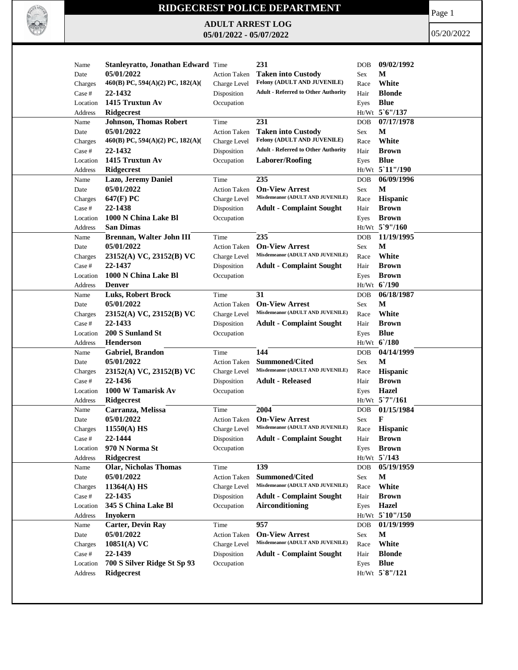

## **RIDGECREST POLICE DEPARTMENT**

**ADULT ARREST LOG 05/01/2022 - 05/07/2022**

Page 1

05/20/2022

| Stanleyratto, Jonathan Edward Time<br>05/01/2022<br>М<br><b>Taken into Custody</b><br>Date<br><b>Action Taken</b><br>Sex<br>Felony (ADULT AND JUVENILE)<br>460(B) PC, 594(A)(2) PC, 182(A)(<br>White<br>Charges<br>Charge Level<br>Race<br><b>Adult - Referred to Other Authority</b><br><b>Blonde</b><br>22-1432<br>Disposition<br>Hair<br>Case #<br>1415 Truxtun Av<br><b>Blue</b><br>Occupation<br>Location<br>Eyes<br>Ht/Wt 5'6"/137<br>Ridgecrest<br>Address<br>231<br>07/17/1978<br><b>Johnson, Thomas Robert</b><br>Time<br>Name<br>DOB<br>05/01/2022<br>М<br><b>Taken into Custody</b><br>Date<br><b>Action Taken</b><br>Sex<br>Felony (ADULT AND JUVENILE)<br>460(B) PC, 594(A)(2) PC, 182(A)(<br>White<br>Charge Level<br>Race<br>Charges<br><b>Adult - Referred to Other Authority</b><br>22-1432<br>Disposition<br><b>Brown</b><br>Case #<br>Hair<br>1415 Truxtun Av<br><b>Blue</b><br><b>Laborer/Roofing</b><br>Location<br>Occupation<br>Eyes<br>Ht/Wt 5 11"/190<br><b>Ridgecrest</b><br>Address<br>06/09/1996<br>235<br>Lazo, Jeremy Daniel<br>Time<br><b>DOB</b><br>Name<br>05/01/2022<br><b>On-View Arrest</b><br>M<br><b>Action Taken</b><br>Sex<br>Date<br>Misdemeanor (ADULT AND JUVENILE)<br>647(F) PC<br>Hispanic<br>Charge Level<br>Race<br>Charges<br>22-1438<br><b>Brown</b><br>Case #<br>Disposition<br><b>Adult - Complaint Sought</b><br>Hair<br>1000 N China Lake Bl<br><b>Brown</b><br>Location<br>Occupation<br>Eyes<br>Ht/Wt 5`9"/160<br><b>San Dimas</b><br>Address<br>235<br>11/19/1995<br>Brennan, Walter John III<br>Time<br><b>DOB</b><br>Name<br>M<br>05/01/2022<br><b>On-View Arrest</b><br>Date<br><b>Action Taken</b><br>Sex<br>Misdemeanor (ADULT AND JUVENILE)<br>White<br>23152(A) VC, 23152(B) VC<br>Charge Level<br>Charges<br>Race<br>22-1437<br>Disposition<br><b>Adult - Complaint Sought</b><br><b>Brown</b><br>Case #<br>Hair<br>1000 N China Lake Bl<br><b>Brown</b><br>Location<br>Occupation<br>Eyes<br>Ht/Wt 6'/190<br>Address<br><b>Denver</b><br>31<br>06/18/1987<br>Luks, Robert Brock<br>Time<br>Name<br><b>DOB</b><br>M<br>05/01/2022<br><b>On-View Arrest</b><br>Action Taken<br>Sex<br>Date<br>Misdemeanor (ADULT AND JUVENILE)<br>White<br>23152(A) VC, 23152(B) VC<br>Charge Level<br>Race<br>Charges<br>22-1433<br>Disposition<br><b>Adult - Complaint Sought</b><br><b>Brown</b><br>Case #<br>Hair<br>200 S Sunland St<br><b>Blue</b><br>Location<br>Occupation<br>Eyes<br>Henderson<br>Ht/Wt 6/180<br>Address<br>144<br>04/14/1999<br>Gabriel, Brandon<br>Time<br><b>DOB</b><br>Name<br>05/01/2022<br><b>Summoned/Cited</b><br>M<br><b>Action Taken</b><br>Sex<br>Date<br>Misdemeanor (ADULT AND JUVENILE)<br>Hispanic<br>23152(A) VC, 23152(B) VC<br>Charge Level<br>Race<br>Charges<br>22-1436<br>$\operatorname{Case}$ #<br>Disposition<br><b>Adult - Released</b><br><b>Brown</b><br>Hair<br>1000 W Tamarisk Av<br>Hazel<br>Location<br>Occupation<br>Eyes<br>Ht/Wt 5`7"/161<br>Address<br><b>Ridgecrest</b><br>2004<br>01/15/1984<br>Time<br><b>DOB</b><br>Name<br>Carranza, Melissa<br>F<br>05/01/2022<br><b>On-View Arrest</b><br>Date<br><b>Action Taken</b><br>Sex<br>Misdemeanor (ADULT AND JUVENILE)<br>$11550(A)$ HS<br><b>Hispanic</b><br>Charge Level<br>Charges<br>Race<br><b>Adult - Complaint Sought</b><br>Case #<br>22-1444<br>Disposition<br><b>Brown</b><br>Hair<br>970 N Norma St<br><b>Brown</b><br>Occupation<br>Location<br>Eyes<br>$Ht/Wt$ 5 /143<br><b>Ridgecrest</b><br>Address<br>139<br><b>Olar, Nicholas Thomas</b><br>05/19/1959<br>Name<br>Time<br>DOB<br>05/01/2022<br><b>Summoned/Cited</b><br>M<br>Action Taken<br>Sex<br>Date<br>Misdemeanor (ADULT AND JUVENILE)<br>White<br>Charge Level<br>$11364(A)$ HS<br>Race<br>Charges<br>22-1435<br><b>Adult - Complaint Sought</b><br>Disposition<br><b>Brown</b><br>Case #<br>Hair<br>345 S China Lake Bl<br>Airconditioning<br><b>Hazel</b><br>Location<br>Occupation<br>Eyes<br>Ht/Wt 5`10"/150<br><b>Inyokern</b><br>Address<br>957<br><b>Carter, Devin Ray</b><br>01/19/1999<br>Time<br>Name<br>DOB<br>05/01/2022<br><b>On-View Arrest</b><br>M<br><b>Action Taken</b><br>Sex<br>Date<br>Misdemeanor (ADULT AND JUVENILE)<br>White<br>10851(A) VC<br>Charge Level<br>Charges<br>Race<br>22-1439<br><b>Blonde</b><br>Case #<br>Disposition<br><b>Adult - Complaint Sought</b><br>Hair<br><b>Blue</b><br>700 S Silver Ridge St Sp 93<br>Occupation<br>Location<br>Eyes<br>Ht/Wt 5`8"/121<br><b>Ridgecrest</b><br>Address |      |  |     |            |            |
|-------------------------------------------------------------------------------------------------------------------------------------------------------------------------------------------------------------------------------------------------------------------------------------------------------------------------------------------------------------------------------------------------------------------------------------------------------------------------------------------------------------------------------------------------------------------------------------------------------------------------------------------------------------------------------------------------------------------------------------------------------------------------------------------------------------------------------------------------------------------------------------------------------------------------------------------------------------------------------------------------------------------------------------------------------------------------------------------------------------------------------------------------------------------------------------------------------------------------------------------------------------------------------------------------------------------------------------------------------------------------------------------------------------------------------------------------------------------------------------------------------------------------------------------------------------------------------------------------------------------------------------------------------------------------------------------------------------------------------------------------------------------------------------------------------------------------------------------------------------------------------------------------------------------------------------------------------------------------------------------------------------------------------------------------------------------------------------------------------------------------------------------------------------------------------------------------------------------------------------------------------------------------------------------------------------------------------------------------------------------------------------------------------------------------------------------------------------------------------------------------------------------------------------------------------------------------------------------------------------------------------------------------------------------------------------------------------------------------------------------------------------------------------------------------------------------------------------------------------------------------------------------------------------------------------------------------------------------------------------------------------------------------------------------------------------------------------------------------------------------------------------------------------------------------------------------------------------------------------------------------------------------------------------------------------------------------------------------------------------------------------------------------------------------------------------------------------------------------------------------------------------------------------------------------------------------------------------------------------------------------------------------------------------------------------------------------------------------------------------------------------------------------------------------------------------------------------------------------------------------------------------------------------------------------------------------------------------------------------------------------------------------------------------------------------------------------------------------------------------------------------------------------------------------------------------------------------------------------------------------------------------------------------------------------------------------------------------------------------------------------------------------------------------------------------------------------------------------------------|------|--|-----|------------|------------|
|                                                                                                                                                                                                                                                                                                                                                                                                                                                                                                                                                                                                                                                                                                                                                                                                                                                                                                                                                                                                                                                                                                                                                                                                                                                                                                                                                                                                                                                                                                                                                                                                                                                                                                                                                                                                                                                                                                                                                                                                                                                                                                                                                                                                                                                                                                                                                                                                                                                                                                                                                                                                                                                                                                                                                                                                                                                                                                                                                                                                                                                                                                                                                                                                                                                                                                                                                                                                                                                                                                                                                                                                                                                                                                                                                                                                                                                                                                                                                                                                                                                                                                                                                                                                                                                                                                                                                                                                                                                                               | Name |  | 231 | <b>DOB</b> | 09/02/1992 |
|                                                                                                                                                                                                                                                                                                                                                                                                                                                                                                                                                                                                                                                                                                                                                                                                                                                                                                                                                                                                                                                                                                                                                                                                                                                                                                                                                                                                                                                                                                                                                                                                                                                                                                                                                                                                                                                                                                                                                                                                                                                                                                                                                                                                                                                                                                                                                                                                                                                                                                                                                                                                                                                                                                                                                                                                                                                                                                                                                                                                                                                                                                                                                                                                                                                                                                                                                                                                                                                                                                                                                                                                                                                                                                                                                                                                                                                                                                                                                                                                                                                                                                                                                                                                                                                                                                                                                                                                                                                                               |      |  |     |            |            |
|                                                                                                                                                                                                                                                                                                                                                                                                                                                                                                                                                                                                                                                                                                                                                                                                                                                                                                                                                                                                                                                                                                                                                                                                                                                                                                                                                                                                                                                                                                                                                                                                                                                                                                                                                                                                                                                                                                                                                                                                                                                                                                                                                                                                                                                                                                                                                                                                                                                                                                                                                                                                                                                                                                                                                                                                                                                                                                                                                                                                                                                                                                                                                                                                                                                                                                                                                                                                                                                                                                                                                                                                                                                                                                                                                                                                                                                                                                                                                                                                                                                                                                                                                                                                                                                                                                                                                                                                                                                                               |      |  |     |            |            |
|                                                                                                                                                                                                                                                                                                                                                                                                                                                                                                                                                                                                                                                                                                                                                                                                                                                                                                                                                                                                                                                                                                                                                                                                                                                                                                                                                                                                                                                                                                                                                                                                                                                                                                                                                                                                                                                                                                                                                                                                                                                                                                                                                                                                                                                                                                                                                                                                                                                                                                                                                                                                                                                                                                                                                                                                                                                                                                                                                                                                                                                                                                                                                                                                                                                                                                                                                                                                                                                                                                                                                                                                                                                                                                                                                                                                                                                                                                                                                                                                                                                                                                                                                                                                                                                                                                                                                                                                                                                                               |      |  |     |            |            |
|                                                                                                                                                                                                                                                                                                                                                                                                                                                                                                                                                                                                                                                                                                                                                                                                                                                                                                                                                                                                                                                                                                                                                                                                                                                                                                                                                                                                                                                                                                                                                                                                                                                                                                                                                                                                                                                                                                                                                                                                                                                                                                                                                                                                                                                                                                                                                                                                                                                                                                                                                                                                                                                                                                                                                                                                                                                                                                                                                                                                                                                                                                                                                                                                                                                                                                                                                                                                                                                                                                                                                                                                                                                                                                                                                                                                                                                                                                                                                                                                                                                                                                                                                                                                                                                                                                                                                                                                                                                                               |      |  |     |            |            |
|                                                                                                                                                                                                                                                                                                                                                                                                                                                                                                                                                                                                                                                                                                                                                                                                                                                                                                                                                                                                                                                                                                                                                                                                                                                                                                                                                                                                                                                                                                                                                                                                                                                                                                                                                                                                                                                                                                                                                                                                                                                                                                                                                                                                                                                                                                                                                                                                                                                                                                                                                                                                                                                                                                                                                                                                                                                                                                                                                                                                                                                                                                                                                                                                                                                                                                                                                                                                                                                                                                                                                                                                                                                                                                                                                                                                                                                                                                                                                                                                                                                                                                                                                                                                                                                                                                                                                                                                                                                                               |      |  |     |            |            |
|                                                                                                                                                                                                                                                                                                                                                                                                                                                                                                                                                                                                                                                                                                                                                                                                                                                                                                                                                                                                                                                                                                                                                                                                                                                                                                                                                                                                                                                                                                                                                                                                                                                                                                                                                                                                                                                                                                                                                                                                                                                                                                                                                                                                                                                                                                                                                                                                                                                                                                                                                                                                                                                                                                                                                                                                                                                                                                                                                                                                                                                                                                                                                                                                                                                                                                                                                                                                                                                                                                                                                                                                                                                                                                                                                                                                                                                                                                                                                                                                                                                                                                                                                                                                                                                                                                                                                                                                                                                                               |      |  |     |            |            |
|                                                                                                                                                                                                                                                                                                                                                                                                                                                                                                                                                                                                                                                                                                                                                                                                                                                                                                                                                                                                                                                                                                                                                                                                                                                                                                                                                                                                                                                                                                                                                                                                                                                                                                                                                                                                                                                                                                                                                                                                                                                                                                                                                                                                                                                                                                                                                                                                                                                                                                                                                                                                                                                                                                                                                                                                                                                                                                                                                                                                                                                                                                                                                                                                                                                                                                                                                                                                                                                                                                                                                                                                                                                                                                                                                                                                                                                                                                                                                                                                                                                                                                                                                                                                                                                                                                                                                                                                                                                                               |      |  |     |            |            |
|                                                                                                                                                                                                                                                                                                                                                                                                                                                                                                                                                                                                                                                                                                                                                                                                                                                                                                                                                                                                                                                                                                                                                                                                                                                                                                                                                                                                                                                                                                                                                                                                                                                                                                                                                                                                                                                                                                                                                                                                                                                                                                                                                                                                                                                                                                                                                                                                                                                                                                                                                                                                                                                                                                                                                                                                                                                                                                                                                                                                                                                                                                                                                                                                                                                                                                                                                                                                                                                                                                                                                                                                                                                                                                                                                                                                                                                                                                                                                                                                                                                                                                                                                                                                                                                                                                                                                                                                                                                                               |      |  |     |            |            |
|                                                                                                                                                                                                                                                                                                                                                                                                                                                                                                                                                                                                                                                                                                                                                                                                                                                                                                                                                                                                                                                                                                                                                                                                                                                                                                                                                                                                                                                                                                                                                                                                                                                                                                                                                                                                                                                                                                                                                                                                                                                                                                                                                                                                                                                                                                                                                                                                                                                                                                                                                                                                                                                                                                                                                                                                                                                                                                                                                                                                                                                                                                                                                                                                                                                                                                                                                                                                                                                                                                                                                                                                                                                                                                                                                                                                                                                                                                                                                                                                                                                                                                                                                                                                                                                                                                                                                                                                                                                                               |      |  |     |            |            |
|                                                                                                                                                                                                                                                                                                                                                                                                                                                                                                                                                                                                                                                                                                                                                                                                                                                                                                                                                                                                                                                                                                                                                                                                                                                                                                                                                                                                                                                                                                                                                                                                                                                                                                                                                                                                                                                                                                                                                                                                                                                                                                                                                                                                                                                                                                                                                                                                                                                                                                                                                                                                                                                                                                                                                                                                                                                                                                                                                                                                                                                                                                                                                                                                                                                                                                                                                                                                                                                                                                                                                                                                                                                                                                                                                                                                                                                                                                                                                                                                                                                                                                                                                                                                                                                                                                                                                                                                                                                                               |      |  |     |            |            |
|                                                                                                                                                                                                                                                                                                                                                                                                                                                                                                                                                                                                                                                                                                                                                                                                                                                                                                                                                                                                                                                                                                                                                                                                                                                                                                                                                                                                                                                                                                                                                                                                                                                                                                                                                                                                                                                                                                                                                                                                                                                                                                                                                                                                                                                                                                                                                                                                                                                                                                                                                                                                                                                                                                                                                                                                                                                                                                                                                                                                                                                                                                                                                                                                                                                                                                                                                                                                                                                                                                                                                                                                                                                                                                                                                                                                                                                                                                                                                                                                                                                                                                                                                                                                                                                                                                                                                                                                                                                                               |      |  |     |            |            |
|                                                                                                                                                                                                                                                                                                                                                                                                                                                                                                                                                                                                                                                                                                                                                                                                                                                                                                                                                                                                                                                                                                                                                                                                                                                                                                                                                                                                                                                                                                                                                                                                                                                                                                                                                                                                                                                                                                                                                                                                                                                                                                                                                                                                                                                                                                                                                                                                                                                                                                                                                                                                                                                                                                                                                                                                                                                                                                                                                                                                                                                                                                                                                                                                                                                                                                                                                                                                                                                                                                                                                                                                                                                                                                                                                                                                                                                                                                                                                                                                                                                                                                                                                                                                                                                                                                                                                                                                                                                                               |      |  |     |            |            |
|                                                                                                                                                                                                                                                                                                                                                                                                                                                                                                                                                                                                                                                                                                                                                                                                                                                                                                                                                                                                                                                                                                                                                                                                                                                                                                                                                                                                                                                                                                                                                                                                                                                                                                                                                                                                                                                                                                                                                                                                                                                                                                                                                                                                                                                                                                                                                                                                                                                                                                                                                                                                                                                                                                                                                                                                                                                                                                                                                                                                                                                                                                                                                                                                                                                                                                                                                                                                                                                                                                                                                                                                                                                                                                                                                                                                                                                                                                                                                                                                                                                                                                                                                                                                                                                                                                                                                                                                                                                                               |      |  |     |            |            |
|                                                                                                                                                                                                                                                                                                                                                                                                                                                                                                                                                                                                                                                                                                                                                                                                                                                                                                                                                                                                                                                                                                                                                                                                                                                                                                                                                                                                                                                                                                                                                                                                                                                                                                                                                                                                                                                                                                                                                                                                                                                                                                                                                                                                                                                                                                                                                                                                                                                                                                                                                                                                                                                                                                                                                                                                                                                                                                                                                                                                                                                                                                                                                                                                                                                                                                                                                                                                                                                                                                                                                                                                                                                                                                                                                                                                                                                                                                                                                                                                                                                                                                                                                                                                                                                                                                                                                                                                                                                                               |      |  |     |            |            |
|                                                                                                                                                                                                                                                                                                                                                                                                                                                                                                                                                                                                                                                                                                                                                                                                                                                                                                                                                                                                                                                                                                                                                                                                                                                                                                                                                                                                                                                                                                                                                                                                                                                                                                                                                                                                                                                                                                                                                                                                                                                                                                                                                                                                                                                                                                                                                                                                                                                                                                                                                                                                                                                                                                                                                                                                                                                                                                                                                                                                                                                                                                                                                                                                                                                                                                                                                                                                                                                                                                                                                                                                                                                                                                                                                                                                                                                                                                                                                                                                                                                                                                                                                                                                                                                                                                                                                                                                                                                                               |      |  |     |            |            |
|                                                                                                                                                                                                                                                                                                                                                                                                                                                                                                                                                                                                                                                                                                                                                                                                                                                                                                                                                                                                                                                                                                                                                                                                                                                                                                                                                                                                                                                                                                                                                                                                                                                                                                                                                                                                                                                                                                                                                                                                                                                                                                                                                                                                                                                                                                                                                                                                                                                                                                                                                                                                                                                                                                                                                                                                                                                                                                                                                                                                                                                                                                                                                                                                                                                                                                                                                                                                                                                                                                                                                                                                                                                                                                                                                                                                                                                                                                                                                                                                                                                                                                                                                                                                                                                                                                                                                                                                                                                                               |      |  |     |            |            |
|                                                                                                                                                                                                                                                                                                                                                                                                                                                                                                                                                                                                                                                                                                                                                                                                                                                                                                                                                                                                                                                                                                                                                                                                                                                                                                                                                                                                                                                                                                                                                                                                                                                                                                                                                                                                                                                                                                                                                                                                                                                                                                                                                                                                                                                                                                                                                                                                                                                                                                                                                                                                                                                                                                                                                                                                                                                                                                                                                                                                                                                                                                                                                                                                                                                                                                                                                                                                                                                                                                                                                                                                                                                                                                                                                                                                                                                                                                                                                                                                                                                                                                                                                                                                                                                                                                                                                                                                                                                                               |      |  |     |            |            |
|                                                                                                                                                                                                                                                                                                                                                                                                                                                                                                                                                                                                                                                                                                                                                                                                                                                                                                                                                                                                                                                                                                                                                                                                                                                                                                                                                                                                                                                                                                                                                                                                                                                                                                                                                                                                                                                                                                                                                                                                                                                                                                                                                                                                                                                                                                                                                                                                                                                                                                                                                                                                                                                                                                                                                                                                                                                                                                                                                                                                                                                                                                                                                                                                                                                                                                                                                                                                                                                                                                                                                                                                                                                                                                                                                                                                                                                                                                                                                                                                                                                                                                                                                                                                                                                                                                                                                                                                                                                                               |      |  |     |            |            |
|                                                                                                                                                                                                                                                                                                                                                                                                                                                                                                                                                                                                                                                                                                                                                                                                                                                                                                                                                                                                                                                                                                                                                                                                                                                                                                                                                                                                                                                                                                                                                                                                                                                                                                                                                                                                                                                                                                                                                                                                                                                                                                                                                                                                                                                                                                                                                                                                                                                                                                                                                                                                                                                                                                                                                                                                                                                                                                                                                                                                                                                                                                                                                                                                                                                                                                                                                                                                                                                                                                                                                                                                                                                                                                                                                                                                                                                                                                                                                                                                                                                                                                                                                                                                                                                                                                                                                                                                                                                                               |      |  |     |            |            |
|                                                                                                                                                                                                                                                                                                                                                                                                                                                                                                                                                                                                                                                                                                                                                                                                                                                                                                                                                                                                                                                                                                                                                                                                                                                                                                                                                                                                                                                                                                                                                                                                                                                                                                                                                                                                                                                                                                                                                                                                                                                                                                                                                                                                                                                                                                                                                                                                                                                                                                                                                                                                                                                                                                                                                                                                                                                                                                                                                                                                                                                                                                                                                                                                                                                                                                                                                                                                                                                                                                                                                                                                                                                                                                                                                                                                                                                                                                                                                                                                                                                                                                                                                                                                                                                                                                                                                                                                                                                                               |      |  |     |            |            |
|                                                                                                                                                                                                                                                                                                                                                                                                                                                                                                                                                                                                                                                                                                                                                                                                                                                                                                                                                                                                                                                                                                                                                                                                                                                                                                                                                                                                                                                                                                                                                                                                                                                                                                                                                                                                                                                                                                                                                                                                                                                                                                                                                                                                                                                                                                                                                                                                                                                                                                                                                                                                                                                                                                                                                                                                                                                                                                                                                                                                                                                                                                                                                                                                                                                                                                                                                                                                                                                                                                                                                                                                                                                                                                                                                                                                                                                                                                                                                                                                                                                                                                                                                                                                                                                                                                                                                                                                                                                                               |      |  |     |            |            |
|                                                                                                                                                                                                                                                                                                                                                                                                                                                                                                                                                                                                                                                                                                                                                                                                                                                                                                                                                                                                                                                                                                                                                                                                                                                                                                                                                                                                                                                                                                                                                                                                                                                                                                                                                                                                                                                                                                                                                                                                                                                                                                                                                                                                                                                                                                                                                                                                                                                                                                                                                                                                                                                                                                                                                                                                                                                                                                                                                                                                                                                                                                                                                                                                                                                                                                                                                                                                                                                                                                                                                                                                                                                                                                                                                                                                                                                                                                                                                                                                                                                                                                                                                                                                                                                                                                                                                                                                                                                                               |      |  |     |            |            |
|                                                                                                                                                                                                                                                                                                                                                                                                                                                                                                                                                                                                                                                                                                                                                                                                                                                                                                                                                                                                                                                                                                                                                                                                                                                                                                                                                                                                                                                                                                                                                                                                                                                                                                                                                                                                                                                                                                                                                                                                                                                                                                                                                                                                                                                                                                                                                                                                                                                                                                                                                                                                                                                                                                                                                                                                                                                                                                                                                                                                                                                                                                                                                                                                                                                                                                                                                                                                                                                                                                                                                                                                                                                                                                                                                                                                                                                                                                                                                                                                                                                                                                                                                                                                                                                                                                                                                                                                                                                                               |      |  |     |            |            |
|                                                                                                                                                                                                                                                                                                                                                                                                                                                                                                                                                                                                                                                                                                                                                                                                                                                                                                                                                                                                                                                                                                                                                                                                                                                                                                                                                                                                                                                                                                                                                                                                                                                                                                                                                                                                                                                                                                                                                                                                                                                                                                                                                                                                                                                                                                                                                                                                                                                                                                                                                                                                                                                                                                                                                                                                                                                                                                                                                                                                                                                                                                                                                                                                                                                                                                                                                                                                                                                                                                                                                                                                                                                                                                                                                                                                                                                                                                                                                                                                                                                                                                                                                                                                                                                                                                                                                                                                                                                                               |      |  |     |            |            |
|                                                                                                                                                                                                                                                                                                                                                                                                                                                                                                                                                                                                                                                                                                                                                                                                                                                                                                                                                                                                                                                                                                                                                                                                                                                                                                                                                                                                                                                                                                                                                                                                                                                                                                                                                                                                                                                                                                                                                                                                                                                                                                                                                                                                                                                                                                                                                                                                                                                                                                                                                                                                                                                                                                                                                                                                                                                                                                                                                                                                                                                                                                                                                                                                                                                                                                                                                                                                                                                                                                                                                                                                                                                                                                                                                                                                                                                                                                                                                                                                                                                                                                                                                                                                                                                                                                                                                                                                                                                                               |      |  |     |            |            |
|                                                                                                                                                                                                                                                                                                                                                                                                                                                                                                                                                                                                                                                                                                                                                                                                                                                                                                                                                                                                                                                                                                                                                                                                                                                                                                                                                                                                                                                                                                                                                                                                                                                                                                                                                                                                                                                                                                                                                                                                                                                                                                                                                                                                                                                                                                                                                                                                                                                                                                                                                                                                                                                                                                                                                                                                                                                                                                                                                                                                                                                                                                                                                                                                                                                                                                                                                                                                                                                                                                                                                                                                                                                                                                                                                                                                                                                                                                                                                                                                                                                                                                                                                                                                                                                                                                                                                                                                                                                                               |      |  |     |            |            |
|                                                                                                                                                                                                                                                                                                                                                                                                                                                                                                                                                                                                                                                                                                                                                                                                                                                                                                                                                                                                                                                                                                                                                                                                                                                                                                                                                                                                                                                                                                                                                                                                                                                                                                                                                                                                                                                                                                                                                                                                                                                                                                                                                                                                                                                                                                                                                                                                                                                                                                                                                                                                                                                                                                                                                                                                                                                                                                                                                                                                                                                                                                                                                                                                                                                                                                                                                                                                                                                                                                                                                                                                                                                                                                                                                                                                                                                                                                                                                                                                                                                                                                                                                                                                                                                                                                                                                                                                                                                                               |      |  |     |            |            |
|                                                                                                                                                                                                                                                                                                                                                                                                                                                                                                                                                                                                                                                                                                                                                                                                                                                                                                                                                                                                                                                                                                                                                                                                                                                                                                                                                                                                                                                                                                                                                                                                                                                                                                                                                                                                                                                                                                                                                                                                                                                                                                                                                                                                                                                                                                                                                                                                                                                                                                                                                                                                                                                                                                                                                                                                                                                                                                                                                                                                                                                                                                                                                                                                                                                                                                                                                                                                                                                                                                                                                                                                                                                                                                                                                                                                                                                                                                                                                                                                                                                                                                                                                                                                                                                                                                                                                                                                                                                                               |      |  |     |            |            |
|                                                                                                                                                                                                                                                                                                                                                                                                                                                                                                                                                                                                                                                                                                                                                                                                                                                                                                                                                                                                                                                                                                                                                                                                                                                                                                                                                                                                                                                                                                                                                                                                                                                                                                                                                                                                                                                                                                                                                                                                                                                                                                                                                                                                                                                                                                                                                                                                                                                                                                                                                                                                                                                                                                                                                                                                                                                                                                                                                                                                                                                                                                                                                                                                                                                                                                                                                                                                                                                                                                                                                                                                                                                                                                                                                                                                                                                                                                                                                                                                                                                                                                                                                                                                                                                                                                                                                                                                                                                                               |      |  |     |            |            |
|                                                                                                                                                                                                                                                                                                                                                                                                                                                                                                                                                                                                                                                                                                                                                                                                                                                                                                                                                                                                                                                                                                                                                                                                                                                                                                                                                                                                                                                                                                                                                                                                                                                                                                                                                                                                                                                                                                                                                                                                                                                                                                                                                                                                                                                                                                                                                                                                                                                                                                                                                                                                                                                                                                                                                                                                                                                                                                                                                                                                                                                                                                                                                                                                                                                                                                                                                                                                                                                                                                                                                                                                                                                                                                                                                                                                                                                                                                                                                                                                                                                                                                                                                                                                                                                                                                                                                                                                                                                                               |      |  |     |            |            |
|                                                                                                                                                                                                                                                                                                                                                                                                                                                                                                                                                                                                                                                                                                                                                                                                                                                                                                                                                                                                                                                                                                                                                                                                                                                                                                                                                                                                                                                                                                                                                                                                                                                                                                                                                                                                                                                                                                                                                                                                                                                                                                                                                                                                                                                                                                                                                                                                                                                                                                                                                                                                                                                                                                                                                                                                                                                                                                                                                                                                                                                                                                                                                                                                                                                                                                                                                                                                                                                                                                                                                                                                                                                                                                                                                                                                                                                                                                                                                                                                                                                                                                                                                                                                                                                                                                                                                                                                                                                                               |      |  |     |            |            |
|                                                                                                                                                                                                                                                                                                                                                                                                                                                                                                                                                                                                                                                                                                                                                                                                                                                                                                                                                                                                                                                                                                                                                                                                                                                                                                                                                                                                                                                                                                                                                                                                                                                                                                                                                                                                                                                                                                                                                                                                                                                                                                                                                                                                                                                                                                                                                                                                                                                                                                                                                                                                                                                                                                                                                                                                                                                                                                                                                                                                                                                                                                                                                                                                                                                                                                                                                                                                                                                                                                                                                                                                                                                                                                                                                                                                                                                                                                                                                                                                                                                                                                                                                                                                                                                                                                                                                                                                                                                                               |      |  |     |            |            |
|                                                                                                                                                                                                                                                                                                                                                                                                                                                                                                                                                                                                                                                                                                                                                                                                                                                                                                                                                                                                                                                                                                                                                                                                                                                                                                                                                                                                                                                                                                                                                                                                                                                                                                                                                                                                                                                                                                                                                                                                                                                                                                                                                                                                                                                                                                                                                                                                                                                                                                                                                                                                                                                                                                                                                                                                                                                                                                                                                                                                                                                                                                                                                                                                                                                                                                                                                                                                                                                                                                                                                                                                                                                                                                                                                                                                                                                                                                                                                                                                                                                                                                                                                                                                                                                                                                                                                                                                                                                                               |      |  |     |            |            |
|                                                                                                                                                                                                                                                                                                                                                                                                                                                                                                                                                                                                                                                                                                                                                                                                                                                                                                                                                                                                                                                                                                                                                                                                                                                                                                                                                                                                                                                                                                                                                                                                                                                                                                                                                                                                                                                                                                                                                                                                                                                                                                                                                                                                                                                                                                                                                                                                                                                                                                                                                                                                                                                                                                                                                                                                                                                                                                                                                                                                                                                                                                                                                                                                                                                                                                                                                                                                                                                                                                                                                                                                                                                                                                                                                                                                                                                                                                                                                                                                                                                                                                                                                                                                                                                                                                                                                                                                                                                                               |      |  |     |            |            |
|                                                                                                                                                                                                                                                                                                                                                                                                                                                                                                                                                                                                                                                                                                                                                                                                                                                                                                                                                                                                                                                                                                                                                                                                                                                                                                                                                                                                                                                                                                                                                                                                                                                                                                                                                                                                                                                                                                                                                                                                                                                                                                                                                                                                                                                                                                                                                                                                                                                                                                                                                                                                                                                                                                                                                                                                                                                                                                                                                                                                                                                                                                                                                                                                                                                                                                                                                                                                                                                                                                                                                                                                                                                                                                                                                                                                                                                                                                                                                                                                                                                                                                                                                                                                                                                                                                                                                                                                                                                                               |      |  |     |            |            |
|                                                                                                                                                                                                                                                                                                                                                                                                                                                                                                                                                                                                                                                                                                                                                                                                                                                                                                                                                                                                                                                                                                                                                                                                                                                                                                                                                                                                                                                                                                                                                                                                                                                                                                                                                                                                                                                                                                                                                                                                                                                                                                                                                                                                                                                                                                                                                                                                                                                                                                                                                                                                                                                                                                                                                                                                                                                                                                                                                                                                                                                                                                                                                                                                                                                                                                                                                                                                                                                                                                                                                                                                                                                                                                                                                                                                                                                                                                                                                                                                                                                                                                                                                                                                                                                                                                                                                                                                                                                                               |      |  |     |            |            |
|                                                                                                                                                                                                                                                                                                                                                                                                                                                                                                                                                                                                                                                                                                                                                                                                                                                                                                                                                                                                                                                                                                                                                                                                                                                                                                                                                                                                                                                                                                                                                                                                                                                                                                                                                                                                                                                                                                                                                                                                                                                                                                                                                                                                                                                                                                                                                                                                                                                                                                                                                                                                                                                                                                                                                                                                                                                                                                                                                                                                                                                                                                                                                                                                                                                                                                                                                                                                                                                                                                                                                                                                                                                                                                                                                                                                                                                                                                                                                                                                                                                                                                                                                                                                                                                                                                                                                                                                                                                                               |      |  |     |            |            |
|                                                                                                                                                                                                                                                                                                                                                                                                                                                                                                                                                                                                                                                                                                                                                                                                                                                                                                                                                                                                                                                                                                                                                                                                                                                                                                                                                                                                                                                                                                                                                                                                                                                                                                                                                                                                                                                                                                                                                                                                                                                                                                                                                                                                                                                                                                                                                                                                                                                                                                                                                                                                                                                                                                                                                                                                                                                                                                                                                                                                                                                                                                                                                                                                                                                                                                                                                                                                                                                                                                                                                                                                                                                                                                                                                                                                                                                                                                                                                                                                                                                                                                                                                                                                                                                                                                                                                                                                                                                                               |      |  |     |            |            |
|                                                                                                                                                                                                                                                                                                                                                                                                                                                                                                                                                                                                                                                                                                                                                                                                                                                                                                                                                                                                                                                                                                                                                                                                                                                                                                                                                                                                                                                                                                                                                                                                                                                                                                                                                                                                                                                                                                                                                                                                                                                                                                                                                                                                                                                                                                                                                                                                                                                                                                                                                                                                                                                                                                                                                                                                                                                                                                                                                                                                                                                                                                                                                                                                                                                                                                                                                                                                                                                                                                                                                                                                                                                                                                                                                                                                                                                                                                                                                                                                                                                                                                                                                                                                                                                                                                                                                                                                                                                                               |      |  |     |            |            |
|                                                                                                                                                                                                                                                                                                                                                                                                                                                                                                                                                                                                                                                                                                                                                                                                                                                                                                                                                                                                                                                                                                                                                                                                                                                                                                                                                                                                                                                                                                                                                                                                                                                                                                                                                                                                                                                                                                                                                                                                                                                                                                                                                                                                                                                                                                                                                                                                                                                                                                                                                                                                                                                                                                                                                                                                                                                                                                                                                                                                                                                                                                                                                                                                                                                                                                                                                                                                                                                                                                                                                                                                                                                                                                                                                                                                                                                                                                                                                                                                                                                                                                                                                                                                                                                                                                                                                                                                                                                                               |      |  |     |            |            |
|                                                                                                                                                                                                                                                                                                                                                                                                                                                                                                                                                                                                                                                                                                                                                                                                                                                                                                                                                                                                                                                                                                                                                                                                                                                                                                                                                                                                                                                                                                                                                                                                                                                                                                                                                                                                                                                                                                                                                                                                                                                                                                                                                                                                                                                                                                                                                                                                                                                                                                                                                                                                                                                                                                                                                                                                                                                                                                                                                                                                                                                                                                                                                                                                                                                                                                                                                                                                                                                                                                                                                                                                                                                                                                                                                                                                                                                                                                                                                                                                                                                                                                                                                                                                                                                                                                                                                                                                                                                                               |      |  |     |            |            |
|                                                                                                                                                                                                                                                                                                                                                                                                                                                                                                                                                                                                                                                                                                                                                                                                                                                                                                                                                                                                                                                                                                                                                                                                                                                                                                                                                                                                                                                                                                                                                                                                                                                                                                                                                                                                                                                                                                                                                                                                                                                                                                                                                                                                                                                                                                                                                                                                                                                                                                                                                                                                                                                                                                                                                                                                                                                                                                                                                                                                                                                                                                                                                                                                                                                                                                                                                                                                                                                                                                                                                                                                                                                                                                                                                                                                                                                                                                                                                                                                                                                                                                                                                                                                                                                                                                                                                                                                                                                                               |      |  |     |            |            |
|                                                                                                                                                                                                                                                                                                                                                                                                                                                                                                                                                                                                                                                                                                                                                                                                                                                                                                                                                                                                                                                                                                                                                                                                                                                                                                                                                                                                                                                                                                                                                                                                                                                                                                                                                                                                                                                                                                                                                                                                                                                                                                                                                                                                                                                                                                                                                                                                                                                                                                                                                                                                                                                                                                                                                                                                                                                                                                                                                                                                                                                                                                                                                                                                                                                                                                                                                                                                                                                                                                                                                                                                                                                                                                                                                                                                                                                                                                                                                                                                                                                                                                                                                                                                                                                                                                                                                                                                                                                                               |      |  |     |            |            |
|                                                                                                                                                                                                                                                                                                                                                                                                                                                                                                                                                                                                                                                                                                                                                                                                                                                                                                                                                                                                                                                                                                                                                                                                                                                                                                                                                                                                                                                                                                                                                                                                                                                                                                                                                                                                                                                                                                                                                                                                                                                                                                                                                                                                                                                                                                                                                                                                                                                                                                                                                                                                                                                                                                                                                                                                                                                                                                                                                                                                                                                                                                                                                                                                                                                                                                                                                                                                                                                                                                                                                                                                                                                                                                                                                                                                                                                                                                                                                                                                                                                                                                                                                                                                                                                                                                                                                                                                                                                                               |      |  |     |            |            |
|                                                                                                                                                                                                                                                                                                                                                                                                                                                                                                                                                                                                                                                                                                                                                                                                                                                                                                                                                                                                                                                                                                                                                                                                                                                                                                                                                                                                                                                                                                                                                                                                                                                                                                                                                                                                                                                                                                                                                                                                                                                                                                                                                                                                                                                                                                                                                                                                                                                                                                                                                                                                                                                                                                                                                                                                                                                                                                                                                                                                                                                                                                                                                                                                                                                                                                                                                                                                                                                                                                                                                                                                                                                                                                                                                                                                                                                                                                                                                                                                                                                                                                                                                                                                                                                                                                                                                                                                                                                                               |      |  |     |            |            |
|                                                                                                                                                                                                                                                                                                                                                                                                                                                                                                                                                                                                                                                                                                                                                                                                                                                                                                                                                                                                                                                                                                                                                                                                                                                                                                                                                                                                                                                                                                                                                                                                                                                                                                                                                                                                                                                                                                                                                                                                                                                                                                                                                                                                                                                                                                                                                                                                                                                                                                                                                                                                                                                                                                                                                                                                                                                                                                                                                                                                                                                                                                                                                                                                                                                                                                                                                                                                                                                                                                                                                                                                                                                                                                                                                                                                                                                                                                                                                                                                                                                                                                                                                                                                                                                                                                                                                                                                                                                                               |      |  |     |            |            |
|                                                                                                                                                                                                                                                                                                                                                                                                                                                                                                                                                                                                                                                                                                                                                                                                                                                                                                                                                                                                                                                                                                                                                                                                                                                                                                                                                                                                                                                                                                                                                                                                                                                                                                                                                                                                                                                                                                                                                                                                                                                                                                                                                                                                                                                                                                                                                                                                                                                                                                                                                                                                                                                                                                                                                                                                                                                                                                                                                                                                                                                                                                                                                                                                                                                                                                                                                                                                                                                                                                                                                                                                                                                                                                                                                                                                                                                                                                                                                                                                                                                                                                                                                                                                                                                                                                                                                                                                                                                                               |      |  |     |            |            |
|                                                                                                                                                                                                                                                                                                                                                                                                                                                                                                                                                                                                                                                                                                                                                                                                                                                                                                                                                                                                                                                                                                                                                                                                                                                                                                                                                                                                                                                                                                                                                                                                                                                                                                                                                                                                                                                                                                                                                                                                                                                                                                                                                                                                                                                                                                                                                                                                                                                                                                                                                                                                                                                                                                                                                                                                                                                                                                                                                                                                                                                                                                                                                                                                                                                                                                                                                                                                                                                                                                                                                                                                                                                                                                                                                                                                                                                                                                                                                                                                                                                                                                                                                                                                                                                                                                                                                                                                                                                                               |      |  |     |            |            |
|                                                                                                                                                                                                                                                                                                                                                                                                                                                                                                                                                                                                                                                                                                                                                                                                                                                                                                                                                                                                                                                                                                                                                                                                                                                                                                                                                                                                                                                                                                                                                                                                                                                                                                                                                                                                                                                                                                                                                                                                                                                                                                                                                                                                                                                                                                                                                                                                                                                                                                                                                                                                                                                                                                                                                                                                                                                                                                                                                                                                                                                                                                                                                                                                                                                                                                                                                                                                                                                                                                                                                                                                                                                                                                                                                                                                                                                                                                                                                                                                                                                                                                                                                                                                                                                                                                                                                                                                                                                                               |      |  |     |            |            |
|                                                                                                                                                                                                                                                                                                                                                                                                                                                                                                                                                                                                                                                                                                                                                                                                                                                                                                                                                                                                                                                                                                                                                                                                                                                                                                                                                                                                                                                                                                                                                                                                                                                                                                                                                                                                                                                                                                                                                                                                                                                                                                                                                                                                                                                                                                                                                                                                                                                                                                                                                                                                                                                                                                                                                                                                                                                                                                                                                                                                                                                                                                                                                                                                                                                                                                                                                                                                                                                                                                                                                                                                                                                                                                                                                                                                                                                                                                                                                                                                                                                                                                                                                                                                                                                                                                                                                                                                                                                                               |      |  |     |            |            |
|                                                                                                                                                                                                                                                                                                                                                                                                                                                                                                                                                                                                                                                                                                                                                                                                                                                                                                                                                                                                                                                                                                                                                                                                                                                                                                                                                                                                                                                                                                                                                                                                                                                                                                                                                                                                                                                                                                                                                                                                                                                                                                                                                                                                                                                                                                                                                                                                                                                                                                                                                                                                                                                                                                                                                                                                                                                                                                                                                                                                                                                                                                                                                                                                                                                                                                                                                                                                                                                                                                                                                                                                                                                                                                                                                                                                                                                                                                                                                                                                                                                                                                                                                                                                                                                                                                                                                                                                                                                                               |      |  |     |            |            |
|                                                                                                                                                                                                                                                                                                                                                                                                                                                                                                                                                                                                                                                                                                                                                                                                                                                                                                                                                                                                                                                                                                                                                                                                                                                                                                                                                                                                                                                                                                                                                                                                                                                                                                                                                                                                                                                                                                                                                                                                                                                                                                                                                                                                                                                                                                                                                                                                                                                                                                                                                                                                                                                                                                                                                                                                                                                                                                                                                                                                                                                                                                                                                                                                                                                                                                                                                                                                                                                                                                                                                                                                                                                                                                                                                                                                                                                                                                                                                                                                                                                                                                                                                                                                                                                                                                                                                                                                                                                                               |      |  |     |            |            |
|                                                                                                                                                                                                                                                                                                                                                                                                                                                                                                                                                                                                                                                                                                                                                                                                                                                                                                                                                                                                                                                                                                                                                                                                                                                                                                                                                                                                                                                                                                                                                                                                                                                                                                                                                                                                                                                                                                                                                                                                                                                                                                                                                                                                                                                                                                                                                                                                                                                                                                                                                                                                                                                                                                                                                                                                                                                                                                                                                                                                                                                                                                                                                                                                                                                                                                                                                                                                                                                                                                                                                                                                                                                                                                                                                                                                                                                                                                                                                                                                                                                                                                                                                                                                                                                                                                                                                                                                                                                                               |      |  |     |            |            |
|                                                                                                                                                                                                                                                                                                                                                                                                                                                                                                                                                                                                                                                                                                                                                                                                                                                                                                                                                                                                                                                                                                                                                                                                                                                                                                                                                                                                                                                                                                                                                                                                                                                                                                                                                                                                                                                                                                                                                                                                                                                                                                                                                                                                                                                                                                                                                                                                                                                                                                                                                                                                                                                                                                                                                                                                                                                                                                                                                                                                                                                                                                                                                                                                                                                                                                                                                                                                                                                                                                                                                                                                                                                                                                                                                                                                                                                                                                                                                                                                                                                                                                                                                                                                                                                                                                                                                                                                                                                                               |      |  |     |            |            |
|                                                                                                                                                                                                                                                                                                                                                                                                                                                                                                                                                                                                                                                                                                                                                                                                                                                                                                                                                                                                                                                                                                                                                                                                                                                                                                                                                                                                                                                                                                                                                                                                                                                                                                                                                                                                                                                                                                                                                                                                                                                                                                                                                                                                                                                                                                                                                                                                                                                                                                                                                                                                                                                                                                                                                                                                                                                                                                                                                                                                                                                                                                                                                                                                                                                                                                                                                                                                                                                                                                                                                                                                                                                                                                                                                                                                                                                                                                                                                                                                                                                                                                                                                                                                                                                                                                                                                                                                                                                                               |      |  |     |            |            |
|                                                                                                                                                                                                                                                                                                                                                                                                                                                                                                                                                                                                                                                                                                                                                                                                                                                                                                                                                                                                                                                                                                                                                                                                                                                                                                                                                                                                                                                                                                                                                                                                                                                                                                                                                                                                                                                                                                                                                                                                                                                                                                                                                                                                                                                                                                                                                                                                                                                                                                                                                                                                                                                                                                                                                                                                                                                                                                                                                                                                                                                                                                                                                                                                                                                                                                                                                                                                                                                                                                                                                                                                                                                                                                                                                                                                                                                                                                                                                                                                                                                                                                                                                                                                                                                                                                                                                                                                                                                                               |      |  |     |            |            |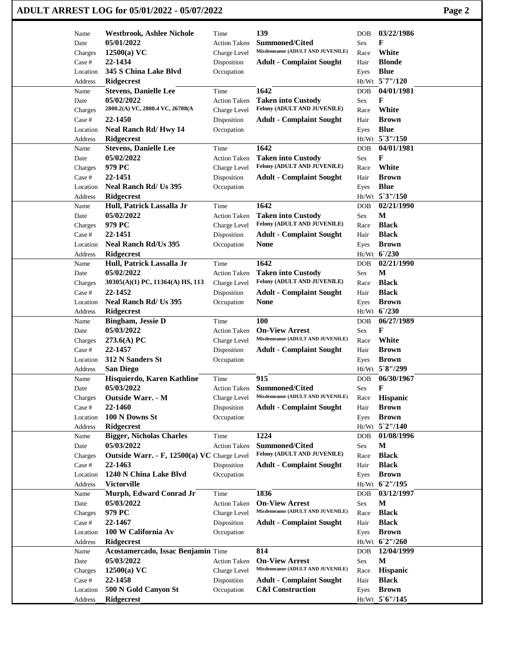| Name               | <b>Westbrook, Ashlee Nichole</b>            | Time                      | 139                                                            | 03/22/1986<br><b>DOB</b>                     |  |
|--------------------|---------------------------------------------|---------------------------|----------------------------------------------------------------|----------------------------------------------|--|
| Date               | 05/01/2022                                  | <b>Action Taken</b>       | <b>Summoned/Cited</b>                                          | F<br>Sex                                     |  |
| Charges            | $12500(a)$ VC                               | Charge Level              | Misdemeanor (ADULT AND JUVENILE)                               | White<br>Race                                |  |
| Case #             | 22-1434                                     | Disposition               | <b>Adult - Complaint Sought</b>                                | <b>Blonde</b><br>Hair                        |  |
| Location           | 345 S China Lake Blvd                       | Occupation                |                                                                | <b>Blue</b><br>Eyes                          |  |
| Address            | Ridgecrest                                  |                           |                                                                | $Ht/Wt$ 5 <sup>°</sup> 7"/120                |  |
| Name               | <b>Stevens, Danielle Lee</b>                | Time                      | 1642                                                           | 04/01/1981<br><b>DOB</b>                     |  |
| Date               | 05/02/2022                                  | <b>Action Taken</b>       | <b>Taken into Custody</b>                                      | F<br>Sex                                     |  |
| Charges            | 2800.2(A) VC, 2800.4 VC, 26708(A            | Charge Level              | Felony (ADULT AND JUVENILE)                                    | White<br>Race                                |  |
| Case #             | 22-1450                                     | Disposition               | <b>Adult - Complaint Sought</b>                                | <b>Brown</b><br>Hair                         |  |
| Location           | Neal Ranch Rd/Hwy 14                        | Occupation                |                                                                | <b>Blue</b><br>Eyes                          |  |
| Address            | <b>Ridgecrest</b>                           |                           |                                                                | Ht/Wt 5'3"/150                               |  |
| Name               | <b>Stevens, Danielle Lee</b>                | Time                      | 1642                                                           | 04/01/1981<br>DOB                            |  |
| Date               | 05/02/2022                                  | <b>Action Taken</b>       | <b>Taken into Custody</b>                                      | F<br>Sex                                     |  |
|                    | 979 PC                                      |                           | Felony (ADULT AND JUVENILE)                                    | White<br>Race                                |  |
| Charges            |                                             | Charge Level              |                                                                |                                              |  |
| Case #             | 22-1451                                     | Disposition               | <b>Adult - Complaint Sought</b>                                | <b>Brown</b><br>Hair                         |  |
| Location           | Neal Ranch Rd/ Us 395                       | Occupation                |                                                                | <b>Blue</b><br>Eyes                          |  |
| Address            | <b>Ridgecrest</b>                           |                           |                                                                | Ht/Wt 5'3"/150                               |  |
| Name               | Hull, Patrick Lassalla Jr                   | Time                      | 1642                                                           | 02/21/1990<br><b>DOB</b>                     |  |
| Date               | 05/02/2022                                  | Action Taken              | <b>Taken into Custody</b>                                      | $\mathbf M$<br>Sex                           |  |
| Charges            | 979 PC                                      | Charge Level              | Felony (ADULT AND JUVENILE)                                    | <b>Black</b><br>Race                         |  |
| Case #             | 22-1451                                     | Disposition               | <b>Adult - Complaint Sought</b>                                | <b>Black</b><br>Hair                         |  |
| Location           | <b>Neal Ranch Rd/Us 395</b>                 | Occupation                | <b>None</b>                                                    | <b>Brown</b><br>Eyes                         |  |
| Address            | <b>Ridgecrest</b>                           |                           |                                                                | Ht/Wt 6'/230                                 |  |
| Name               | Hull, Patrick Lassalla Jr                   | Time                      | 1642                                                           | 02/21/1990<br><b>DOB</b>                     |  |
| Date               | 05/02/2022                                  | <b>Action Taken</b>       | <b>Taken into Custody</b>                                      | М<br>Sex                                     |  |
| Charges            | 30305(A)(1) PC, 11364(A) HS, 113            | Charge Level              | Felony (ADULT AND JUVENILE)                                    | <b>Black</b><br>Race                         |  |
| Case #             | 22-1452                                     | Disposition               | <b>Adult - Complaint Sought</b>                                | <b>Black</b><br>Hair                         |  |
| Location           | Neal Ranch Rd/ Us 395                       | Occupation                | <b>None</b>                                                    | <b>Brown</b><br>Eyes                         |  |
| Address            | <b>Ridgecrest</b>                           |                           |                                                                | Ht/Wt 6'/230                                 |  |
|                    |                                             | Time                      | 100                                                            | 06/27/1989                                   |  |
| Name               | <b>Bingham, Jessie D</b>                    |                           | <b>On-View Arrest</b>                                          | <b>DOB</b><br>F                              |  |
| Date               | 05/03/2022                                  | <b>Action Taken</b>       | Misdemeanor (ADULT AND JUVENILE)                               | <b>Sex</b>                                   |  |
| Charges            | 273.6(A) PC                                 | Charge Level              |                                                                | White<br>Race                                |  |
| Case #             | 22-1457                                     | Disposition               | <b>Adult - Complaint Sought</b>                                | <b>Brown</b><br>Hair                         |  |
| Location           | 312 N Sanders St                            | Occupation                |                                                                | <b>Brown</b><br>Eyes                         |  |
| Address            | <b>San Diego</b>                            |                           |                                                                | Ht/Wt 5`8"/299                               |  |
| Name               | Hisquierdo, Karen Kathline                  | Time                      | 915                                                            | 06/30/1967<br>DOB                            |  |
| Date               | 05/03/2022                                  | <b>Action Taken</b>       | <b>Summoned/Cited</b>                                          | F<br>Sex                                     |  |
| Charges            | Outside Warr. - M                           | Charge Level              | Misdemeanor (ADULT AND JUVENILE)                               | Hispanic<br>Race                             |  |
| Case #             | 22-1460                                     | Disposition               | <b>Adult - Complaint Sought</b>                                | <b>Brown</b><br>Hair                         |  |
| Location           | 100 N Downs St                              | Occupation                |                                                                | <b>Brown</b><br>Eyes                         |  |
| Address            | Ridgecrest                                  |                           |                                                                | Ht/Wt 5`2"/140                               |  |
| Name               | <b>Bigger, Nicholas Charles</b>             | Time                      | 1224                                                           | 01/08/1996<br><b>DOB</b>                     |  |
| Date               | 05/03/2022                                  | <b>Action Taken</b>       | <b>Summoned/Cited</b>                                          | M<br>Sex                                     |  |
| Charges            | Outside Warr. - F, 12500(a) VC Charge Level |                           | Felony (ADULT AND JUVENILE)                                    | <b>Black</b><br>Race                         |  |
| Case #             | 22-1463                                     | Disposition               | <b>Adult - Complaint Sought</b>                                | <b>Black</b><br>Hair                         |  |
|                    | 1240 N China Lake Blvd                      |                           |                                                                |                                              |  |
| Location           |                                             | Occupation                |                                                                | <b>Brown</b><br>Eyes                         |  |
| Address            | <b>Victorville</b>                          |                           |                                                                | Ht/Wt 62"/195                                |  |
| Name               | Murph, Edward Conrad Jr                     | Time                      | 1836                                                           | 03/12/1997<br><b>DOB</b>                     |  |
| Date               | 05/03/2022                                  | <b>Action Taken</b>       | <b>On-View Arrest</b>                                          | $\mathbf M$<br>Sex                           |  |
| Charges            | 979 PC                                      | Charge Level              | Misdemeanor (ADULT AND JUVENILE)                               | <b>Black</b><br>Race                         |  |
| Case #             | 22-1467                                     | Disposition               | <b>Adult - Complaint Sought</b>                                | <b>Black</b><br>Hair                         |  |
| Location           | 100 W California Av                         | Occupation                |                                                                | <b>Brown</b><br>Eyes                         |  |
|                    | <b>Ridgecrest</b>                           |                           |                                                                | Ht/Wt 6'2"/260                               |  |
| Address            |                                             |                           | 814                                                            |                                              |  |
| Name               | Acostamercado, Issac Benjamin Time          |                           |                                                                | 12/04/1999<br><b>DOB</b>                     |  |
|                    |                                             |                           |                                                                |                                              |  |
| Date               | 05/03/2022                                  | Action Taken              | <b>On-View Arrest</b><br>Misdemeanor (ADULT AND JUVENILE)      | $\mathbf M$<br>Sex                           |  |
| Charges            | $12500(a)$ VC                               | Charge Level              |                                                                | Hispanic<br>Race                             |  |
| Case #<br>Location | 22-1458<br>500 N Gold Canyon St             | Disposition<br>Occupation | <b>Adult - Complaint Sought</b><br><b>C&amp;I</b> Construction | <b>Black</b><br>Hair<br><b>Brown</b><br>Eyes |  |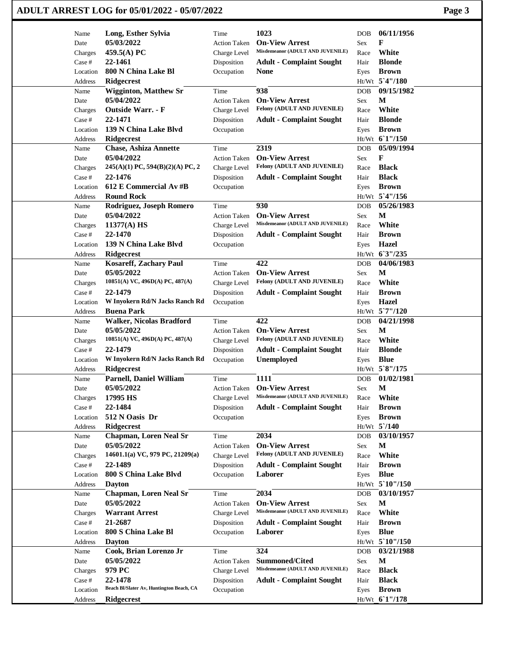| Name<br>Date<br>Charges<br>Case #<br>Location<br>Address<br>Name<br>Date<br>Charges<br>Case #<br>Location<br>Address<br>Name<br>Date | Long, Esther Sylvia<br>05/03/2022<br>459.5(A) PC<br>22-1461<br>800 N China Lake Bl<br><b>Ridgecrest</b><br><b>Wigginton, Matthew Sr</b><br>05/04/2022<br><b>Outside Warr. - F</b><br>22-1471 | Time<br><b>Action Taken</b><br>Charge Level<br>Disposition<br>Occupation<br>Time<br><b>Action Taken</b> | 1023<br><b>On-View Arrest</b><br>Misdemeanor (ADULT AND JUVENILE)<br><b>Adult - Complaint Sought</b><br>None | DOB<br>Sex<br>Race<br>Hair<br>Eyes | 06/11/1956<br>F<br>White<br><b>Blonde</b> |  |
|--------------------------------------------------------------------------------------------------------------------------------------|----------------------------------------------------------------------------------------------------------------------------------------------------------------------------------------------|---------------------------------------------------------------------------------------------------------|--------------------------------------------------------------------------------------------------------------|------------------------------------|-------------------------------------------|--|
|                                                                                                                                      |                                                                                                                                                                                              |                                                                                                         |                                                                                                              |                                    |                                           |  |
|                                                                                                                                      |                                                                                                                                                                                              |                                                                                                         |                                                                                                              |                                    |                                           |  |
|                                                                                                                                      |                                                                                                                                                                                              |                                                                                                         |                                                                                                              |                                    |                                           |  |
|                                                                                                                                      |                                                                                                                                                                                              |                                                                                                         |                                                                                                              |                                    |                                           |  |
|                                                                                                                                      |                                                                                                                                                                                              |                                                                                                         |                                                                                                              |                                    | <b>Brown</b>                              |  |
|                                                                                                                                      |                                                                                                                                                                                              |                                                                                                         |                                                                                                              |                                    | Ht/Wt 5'4"/180                            |  |
|                                                                                                                                      |                                                                                                                                                                                              |                                                                                                         | 938                                                                                                          | <b>DOB</b>                         | 09/15/1982                                |  |
|                                                                                                                                      |                                                                                                                                                                                              |                                                                                                         | <b>On-View Arrest</b>                                                                                        | <b>Sex</b>                         | М                                         |  |
|                                                                                                                                      |                                                                                                                                                                                              | Charge Level                                                                                            | Felony (ADULT AND JUVENILE)                                                                                  | Race                               | White                                     |  |
|                                                                                                                                      |                                                                                                                                                                                              | Disposition                                                                                             | <b>Adult - Complaint Sought</b>                                                                              | Hair                               | <b>Blonde</b>                             |  |
|                                                                                                                                      | 139 N China Lake Blvd                                                                                                                                                                        | Occupation                                                                                              |                                                                                                              | Eyes                               | <b>Brown</b>                              |  |
|                                                                                                                                      | <b>Ridgecrest</b>                                                                                                                                                                            |                                                                                                         |                                                                                                              |                                    | Ht/Wt 61"/150                             |  |
|                                                                                                                                      | <b>Chase, Ashiza Annette</b>                                                                                                                                                                 | Time                                                                                                    | 2319                                                                                                         | <b>DOB</b>                         | 05/09/1994                                |  |
|                                                                                                                                      | 05/04/2022                                                                                                                                                                                   | <b>Action Taken</b>                                                                                     | <b>On-View Arrest</b>                                                                                        | <b>Sex</b>                         | F                                         |  |
| Charges                                                                                                                              | $245(A)(1)$ PC, $594(B)(2)(A)$ PC, 2                                                                                                                                                         | Charge Level                                                                                            | Felony (ADULT AND JUVENILE)                                                                                  | Race                               | <b>Black</b>                              |  |
| Case #                                                                                                                               | 22-1476                                                                                                                                                                                      | Disposition                                                                                             | <b>Adult - Complaint Sought</b>                                                                              | Hair                               | <b>Black</b>                              |  |
| Location                                                                                                                             | 612 E Commercial Av #B                                                                                                                                                                       | Occupation                                                                                              |                                                                                                              | Eyes                               | <b>Brown</b>                              |  |
|                                                                                                                                      | <b>Round Rock</b>                                                                                                                                                                            |                                                                                                         |                                                                                                              |                                    | Ht/Wt 5'4"/156                            |  |
| Address                                                                                                                              | Rodriguez, Joseph Romero                                                                                                                                                                     | Time                                                                                                    | 930                                                                                                          | <b>DOB</b>                         | 05/26/1983                                |  |
| Name                                                                                                                                 | 05/04/2022                                                                                                                                                                                   |                                                                                                         | <b>On-View Arrest</b>                                                                                        |                                    | M                                         |  |
| Date                                                                                                                                 |                                                                                                                                                                                              | <b>Action Taken</b>                                                                                     | Misdemeanor (ADULT AND JUVENILE)                                                                             | Sex                                | White                                     |  |
| Charges                                                                                                                              | $11377(A)$ HS                                                                                                                                                                                | Charge Level                                                                                            |                                                                                                              | Race                               |                                           |  |
| Case #                                                                                                                               | 22-1470                                                                                                                                                                                      | Disposition                                                                                             | <b>Adult - Complaint Sought</b>                                                                              | Hair                               | <b>Brown</b>                              |  |
| Location                                                                                                                             | 139 N China Lake Blvd                                                                                                                                                                        | Occupation                                                                                              |                                                                                                              | Eyes                               | Hazel                                     |  |
| Address                                                                                                                              | Ridgecrest                                                                                                                                                                                   |                                                                                                         |                                                                                                              |                                    | Ht/Wt 63"/235                             |  |
| Name                                                                                                                                 | <b>Kosareff, Zachary Paul</b>                                                                                                                                                                | Time                                                                                                    | 422                                                                                                          | <b>DOB</b>                         | 04/06/1983                                |  |
| Date                                                                                                                                 | 05/05/2022                                                                                                                                                                                   | <b>Action Taken</b>                                                                                     | <b>On-View Arrest</b>                                                                                        | <b>Sex</b>                         | М                                         |  |
| Charges                                                                                                                              | 10851(A) VC, 496D(A) PC, 487(A)                                                                                                                                                              | Charge Level                                                                                            | Felony (ADULT AND JUVENILE)                                                                                  | Race                               | White                                     |  |
| Case #                                                                                                                               | 22-1479                                                                                                                                                                                      | Disposition                                                                                             | <b>Adult - Complaint Sought</b>                                                                              | Hair                               | <b>Brown</b>                              |  |
| Location                                                                                                                             | W Inyokern Rd/N Jacks Ranch Rd                                                                                                                                                               | Occupation                                                                                              |                                                                                                              | Eyes                               | Hazel                                     |  |
| Address                                                                                                                              | <b>Buena Park</b>                                                                                                                                                                            |                                                                                                         |                                                                                                              |                                    | $Ht/Wt$ 5 7"/120                          |  |
| Name                                                                                                                                 | <b>Walker, Nicolas Bradford</b>                                                                                                                                                              | Time                                                                                                    | 422                                                                                                          | <b>DOB</b>                         | 04/21/1998                                |  |
| Date                                                                                                                                 | 05/05/2022                                                                                                                                                                                   | <b>Action Taken</b>                                                                                     | <b>On-View Arrest</b>                                                                                        | Sex                                | M                                         |  |
| Charges                                                                                                                              | $10851(A)$ VC, $496D(A)$ PC, $487(A)$                                                                                                                                                        | Charge Level                                                                                            | Felony (ADULT AND JUVENILE)                                                                                  | Race                               | White                                     |  |
| Case #                                                                                                                               | 22-1479                                                                                                                                                                                      | Disposition                                                                                             | <b>Adult - Complaint Sought</b>                                                                              | Hair                               | <b>Blonde</b>                             |  |
| Location                                                                                                                             | W Inyokern Rd/N Jacks Ranch Rd                                                                                                                                                               | Occupation                                                                                              | <b>Unemployed</b>                                                                                            | Eyes                               | <b>Blue</b>                               |  |
| Address                                                                                                                              | <b>Ridgecrest</b>                                                                                                                                                                            |                                                                                                         |                                                                                                              |                                    | Ht/Wt 5`8"/175                            |  |
| Name                                                                                                                                 | <b>Parnell, Daniel William</b>                                                                                                                                                               | Time                                                                                                    | 1111                                                                                                         | <b>DOB</b>                         | 01/02/1981                                |  |
| Date                                                                                                                                 | 05/05/2022                                                                                                                                                                                   | <b>Action Taken</b>                                                                                     | <b>On-View Arrest</b>                                                                                        | Sex                                | $\mathbf{M}$                              |  |
| Charges                                                                                                                              | 17995 HS                                                                                                                                                                                     | Charge Level                                                                                            | Misdemeanor (ADULT AND JUVENILE)                                                                             | Race                               | White                                     |  |
| Case #                                                                                                                               | 22-1484                                                                                                                                                                                      | Disposition                                                                                             | <b>Adult - Complaint Sought</b>                                                                              | Hair                               | <b>Brown</b>                              |  |
| Location                                                                                                                             | 512 N Oasis Dr                                                                                                                                                                               | Occupation                                                                                              |                                                                                                              | Eyes                               | <b>Brown</b>                              |  |
| Address                                                                                                                              | Ridgecrest                                                                                                                                                                                   |                                                                                                         |                                                                                                              |                                    | $Ht/Wt$ 5 $/140$                          |  |
| Name                                                                                                                                 | <b>Chapman, Loren Neal Sr</b>                                                                                                                                                                | Time                                                                                                    | 2034                                                                                                         | <b>DOB</b>                         | 03/10/1957                                |  |
| Date                                                                                                                                 | 05/05/2022                                                                                                                                                                                   | <b>Action Taken</b>                                                                                     | <b>On-View Arrest</b>                                                                                        | Sex                                | M                                         |  |
| Charges                                                                                                                              | 14601.1(a) VC, 979 PC, 21209(a)                                                                                                                                                              | Charge Level                                                                                            | Felony (ADULT AND JUVENILE)                                                                                  | Race                               | White                                     |  |
| Case #                                                                                                                               | 22-1489                                                                                                                                                                                      | Disposition                                                                                             | <b>Adult - Complaint Sought</b>                                                                              | Hair                               | <b>Brown</b>                              |  |
| Location                                                                                                                             | 800 S China Lake Blvd                                                                                                                                                                        | Occupation                                                                                              | Laborer                                                                                                      | Eyes                               | <b>Blue</b>                               |  |
| Address                                                                                                                              | <b>Dayton</b>                                                                                                                                                                                |                                                                                                         |                                                                                                              |                                    | Ht/Wt 5 10"/150                           |  |
| Name                                                                                                                                 | <b>Chapman, Loren Neal Sr</b>                                                                                                                                                                | Time                                                                                                    | 2034                                                                                                         | DOB                                | 03/10/1957                                |  |
| Date                                                                                                                                 | 05/05/2022                                                                                                                                                                                   | <b>Action Taken</b>                                                                                     | <b>On-View Arrest</b>                                                                                        | <b>Sex</b>                         | $\mathbf M$                               |  |
| Charges                                                                                                                              | <b>Warrant Arrest</b>                                                                                                                                                                        | Charge Level                                                                                            | Misdemeanor (ADULT AND JUVENILE)                                                                             | Race                               | White                                     |  |
| Case #                                                                                                                               | 21-2687                                                                                                                                                                                      | Disposition                                                                                             | <b>Adult - Complaint Sought</b>                                                                              | Hair                               | <b>Brown</b>                              |  |
| Location                                                                                                                             | 800 S China Lake Bl                                                                                                                                                                          | Occupation                                                                                              | Laborer                                                                                                      | Eyes                               | <b>Blue</b>                               |  |
| Address                                                                                                                              | <b>Dayton</b>                                                                                                                                                                                |                                                                                                         |                                                                                                              |                                    | Ht/Wt 5`10"/150                           |  |
|                                                                                                                                      | Cook, Brian Lorenzo Jr                                                                                                                                                                       | Time                                                                                                    | 324                                                                                                          | <b>DOB</b>                         | 03/21/1988                                |  |
| Name                                                                                                                                 |                                                                                                                                                                                              |                                                                                                         |                                                                                                              |                                    |                                           |  |
| Date                                                                                                                                 | 05/05/2022                                                                                                                                                                                   | <b>Action Taken</b>                                                                                     | <b>Summoned/Cited</b><br>Misdemeanor (ADULT AND JUVENILE)                                                    | Sex                                | $\mathbf M$<br><b>Black</b>               |  |
|                                                                                                                                      |                                                                                                                                                                                              |                                                                                                         |                                                                                                              |                                    |                                           |  |
| Charges                                                                                                                              | 979 PC                                                                                                                                                                                       | Charge Level                                                                                            |                                                                                                              | Race                               |                                           |  |
| Case #<br>Location                                                                                                                   | 22-1478<br>Beach Bl/Slater Av, Huntington Beach, CA                                                                                                                                          | Disposition<br>Occupation                                                                               | <b>Adult - Complaint Sought</b>                                                                              | Hair<br>Eyes                       | <b>Black</b><br><b>Brown</b>              |  |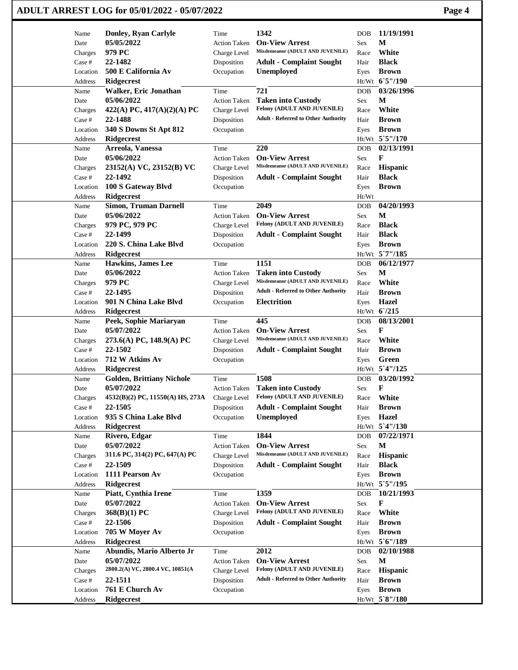|                 | ADULT ARREST LOG for 05/01/2022 - 05/07/2022 |                                     |                                                           |             |                              | Page 4 |
|-----------------|----------------------------------------------|-------------------------------------|-----------------------------------------------------------|-------------|------------------------------|--------|
| Name            | Donley, Ryan Carlyle                         | Time                                | 1342                                                      | DOB         | 11/19/1991                   |        |
| Date            | 05/05/2022                                   | <b>Action Taken</b>                 | <b>On-View Arrest</b>                                     | Sex         | M                            |        |
| Charges         | 979 PC                                       | Charge Level                        | Misdemeanor (ADULT AND JUVENILE)                          | Race        | White                        |        |
| Case #          | 22-1482                                      | Disposition                         | <b>Adult - Complaint Sought</b>                           | Hair        | <b>Black</b>                 |        |
| Location        | 500 E California Av                          | Occupation                          | Unemployed                                                | Eyes        | <b>Brown</b>                 |        |
| Address         | <b>Ridgecrest</b>                            |                                     |                                                           |             | Ht/Wt 65"/190                |        |
| Name            | Walker, Eric Jonathan                        | Time                                | 721                                                       | <b>DOB</b>  | 03/26/1996                   |        |
| Date            | 05/06/2022                                   | <b>Action Taken</b>                 | <b>Taken into Custody</b>                                 | Sex         | M                            |        |
| Charges         | 422(A) PC, 417(A)(2)(A) PC                   | Charge Level                        | Felony (ADULT AND JUVENILE)                               | Race        | White                        |        |
| Case #          | 22-1488                                      | Disposition                         | <b>Adult - Referred to Other Authority</b>                | Hair        | <b>Brown</b>                 |        |
| Location        | 340 S Downs St Apt 812                       | Occupation                          |                                                           | Eyes        | <b>Brown</b>                 |        |
| Address         | Ridgecrest                                   |                                     |                                                           |             | Ht/Wt 5`5"/170               |        |
| Name            | Arreola, Vanessa                             | Time                                | 220                                                       | DOB         | 02/13/1991                   |        |
| Date            | 05/06/2022                                   | <b>Action Taken</b>                 | <b>On-View Arrest</b><br>Misdemeanor (ADULT AND JUVENILE) | Sex         | F                            |        |
| Charges         | 23152(A) VC, 23152(B) VC                     | Charge Level                        |                                                           | Race        | <b>Hispanic</b>              |        |
| Case #          | 22-1492                                      | Disposition                         | <b>Adult - Complaint Sought</b>                           | Hair        | <b>Black</b>                 |        |
| Location        | 100 S Gateway Blvd                           | Occupation                          |                                                           | Eyes        | <b>Brown</b>                 |        |
| Address         | <b>Ridgecrest</b>                            |                                     | 2049                                                      | Ht/Wt       | 04/20/1993                   |        |
| Name            | <b>Simon, Truman Darnell</b><br>05/06/2022   | Time                                | <b>On-View Arrest</b>                                     | <b>DOB</b>  | М                            |        |
| Date<br>Charges | 979 PC, 979 PC                               | <b>Action Taken</b><br>Charge Level | Felony (ADULT AND JUVENILE)                               | Sex<br>Race | <b>Black</b>                 |        |
| Case #          | 22-1499                                      |                                     |                                                           | Hair        | <b>Black</b>                 |        |
| Location        | 220 S. China Lake Blvd                       | Disposition<br>Occupation           | <b>Adult - Complaint Sought</b>                           |             | <b>Brown</b>                 |        |
| Address         | <b>Ridgecrest</b>                            |                                     |                                                           | Eyes        | Ht/Wt 5`7"/185               |        |
| Name            | <b>Hawkins, James Lee</b>                    | Time                                | 1151                                                      | <b>DOB</b>  | 06/12/1977                   |        |
| Date            | 05/06/2022                                   | <b>Action Taken</b>                 | <b>Taken into Custody</b>                                 | Sex         | М                            |        |
| Charges         | 979 PC                                       | Charge Level                        | Misdemeanor (ADULT AND JUVENILE)                          | Race        | White                        |        |
| Case #          | 22-1495                                      | Disposition                         | <b>Adult - Referred to Other Authority</b>                | Hair        | <b>Brown</b>                 |        |
| Location        | 901 N China Lake Blvd                        | Occupation                          | <b>Electrition</b>                                        | Eyes        | <b>Hazel</b>                 |        |
| Address         | <b>Ridgecrest</b>                            |                                     |                                                           |             | Ht/Wt 6/215                  |        |
| Name            | Peek, Sophie Mariaryan                       | Time                                | 445                                                       | DOB         | 08/13/2001                   |        |
| Date            | 05/07/2022                                   | <b>Action Taken</b>                 | <b>On-View Arrest</b>                                     | Sex         | F                            |        |
| Charges         | 273.6(A) PC, 148.9(A) PC                     | Charge Level                        | Misdemeanor (ADULT AND JUVENILE)                          | Race        | White                        |        |
| Case #          | 22-1502                                      | Disposition                         | <b>Adult - Complaint Sought</b>                           | Hair        | <b>Brown</b>                 |        |
| Location        | 712 W Atkins Av                              | Occupation                          |                                                           | Eyes        | Green                        |        |
| Address         | Ridgecrest                                   |                                     |                                                           |             | Ht/Wt 5'4"/125               |        |
| Name            | <b>Golden, Brittiany Nichole</b>             | Time                                | 1508                                                      | DOB         | 03/20/1992                   |        |
| Date            | 05/07/2022                                   | <b>Action Taken</b>                 | <b>Taken into Custody</b>                                 | Sex         | F                            |        |
| Charges         | 4532(B)(2) PC, 11550(A) HS, 273A             | Charge Level                        | Felony (ADULT AND JUVENILE)                               | Race        | White                        |        |
| Case #          | 22-1505                                      | Disposition                         | <b>Adult - Complaint Sought</b>                           | Hair        | <b>Brown</b>                 |        |
| Location        | 935 S China Lake Blvd                        | Occupation                          | <b>Unemployed</b>                                         | Eyes        | <b>Hazel</b>                 |        |
| Address         | <b>Ridgecrest</b>                            |                                     |                                                           |             | Ht/Wt 5'4"/130               |        |
| Name            | Rivero, Edgar                                | Time                                | 1844                                                      | DOB         | 07/22/1971                   |        |
| Date            | 05/07/2022                                   | <b>Action Taken</b>                 | <b>On-View Arrest</b>                                     | Sex         | M                            |        |
| Charges         | 311.6 PC, 314(2) PC, 647(A) PC               | Charge Level                        | Misdemeanor (ADULT AND JUVENILE)                          | Race        | <b>Hispanic</b>              |        |
| Case #          | 22-1509                                      | Disposition                         | <b>Adult - Complaint Sought</b>                           | Hair        | <b>Black</b>                 |        |
| Location        | 1111 Pearson Av                              | Occupation                          |                                                           | Eyes        | <b>Brown</b>                 |        |
| Address         | Ridgecrest                                   |                                     | 1359                                                      |             | Ht/Wt 5`5"/195<br>10/21/1993 |        |
| Name            | Piatt, Cynthia Irene<br>05/07/2022           | Time                                | <b>On-View Arrest</b>                                     | DOB         | F                            |        |
| Date<br>Charges | 368(B)(1) PC                                 | <b>Action Taken</b><br>Charge Level | Felony (ADULT AND JUVENILE)                               | Sex<br>Race | White                        |        |
| Case #          | 22-1506                                      | Disposition                         | <b>Adult - Complaint Sought</b>                           | Hair        | <b>Brown</b>                 |        |
| Location        | 705 W Moyer Av                               | Occupation                          |                                                           | Eyes        | <b>Brown</b>                 |        |
| Address         | <b>Ridgecrest</b>                            |                                     |                                                           |             | Ht/Wt 5'6"/189               |        |
| Name            | Abundis, Mario Alberto Jr                    | Time                                | 2012                                                      | <b>DOB</b>  | 02/10/1988                   |        |
| Date            | 05/07/2022                                   | <b>Action Taken</b>                 | <b>On-View Arrest</b>                                     | Sex         | $\mathbf{M}$                 |        |
| Charges         | 2800.2(A) VC, 2800.4 VC, 10851(A             | Charge Level                        | Felony (ADULT AND JUVENILE)                               | Race        | Hispanic                     |        |
| Case #          | 22-1511                                      | Disposition                         | <b>Adult - Referred to Other Authority</b>                | Hair        | <b>Brown</b>                 |        |
| Location        | 761 E Church Av                              | Occupation                          |                                                           | Eyes        | <b>Brown</b>                 |        |
| Address         | Ridgecrest                                   |                                     |                                                           |             | Ht/Wt 5`8"/180               |        |
|                 |                                              |                                     |                                                           |             |                              |        |

 $\mathbf{I}$